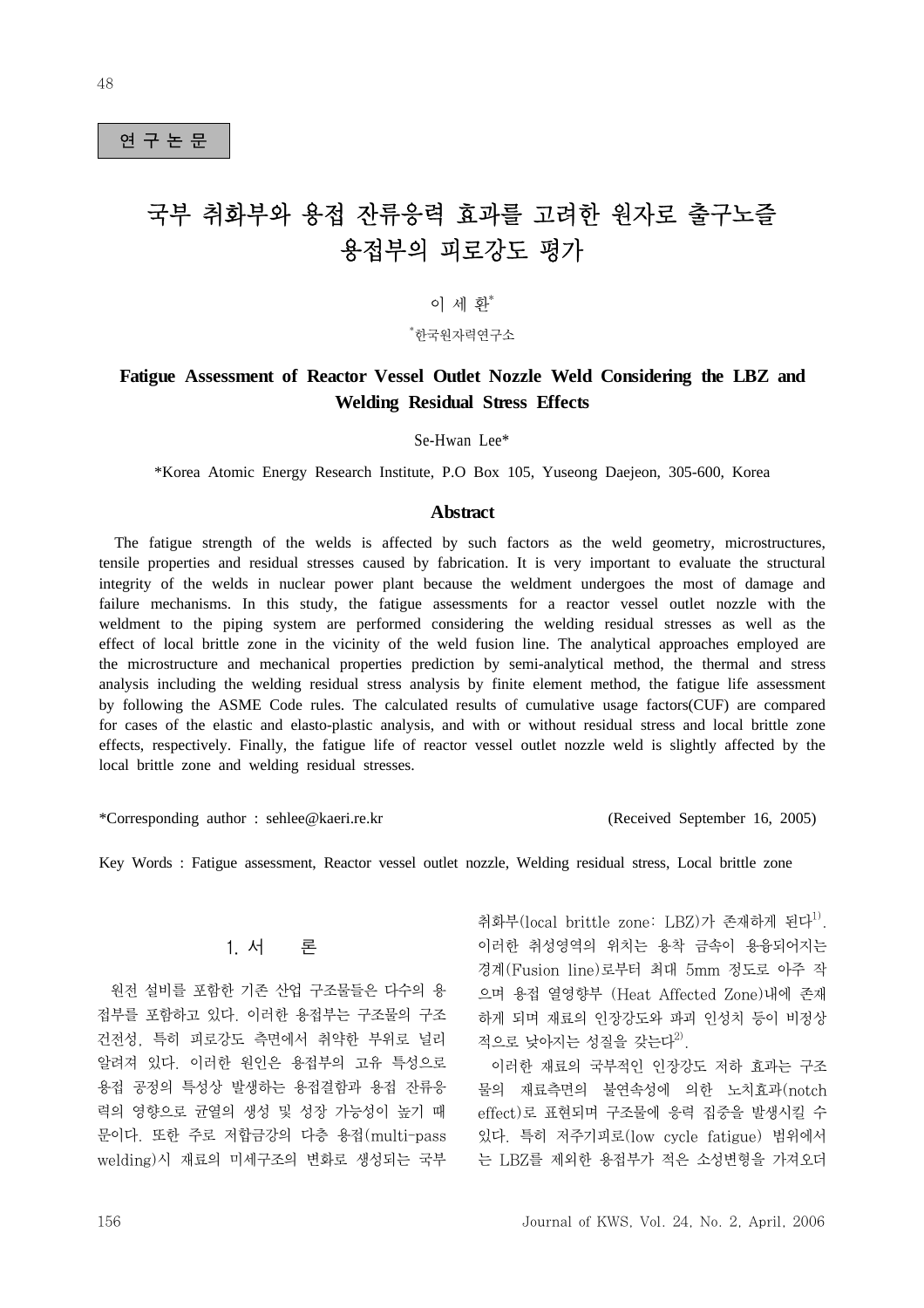## 연 구 논 문

# 국부 취화부와 용접 잔류응력 효과를 고려한 원자로 출구노즐 용접부의 피로강도 평가

# 이 세 환\*

\* 한국원자력연구소

# **Fatigue Assessment of Reactor Vessel Outlet Nozzle Weld Considering the LBZ and Welding Residual Stress Effects**

Se-Hwan Lee\*

\*Korea Atomic Energy Research Institute, P.O Box 105, Yuseong Daejeon, 305-600, Korea

#### **Abstract**

 The fatigue strength of the welds is affected by such factors as the weld geometry, microstructures, tensile properties and residual stresses caused by fabrication. It is very important to evaluate the structural integrity of the welds in nuclear power plant because the weldment undergoes the most of damage and failure mechanisms. In this study, the fatigue assessments for a reactor vessel outlet nozzle with the weldment to the piping system are performed considering the welding residual stresses as well as the effect of local brittle zone in the vicinity of the weld fusion line. The analytical approaches employed are the microstructure and mechanical properties prediction by semi-analytical method, the thermal and stress analysis including the welding residual stress analysis by finite element method, the fatigue life assessment by following the ASME Code rules. The calculated results of cumulative usage factors(CUF) are compared for cases of the elastic and elasto-plastic analysis, and with or without residual stress and local brittle zone effects, respectively. Finally, the fatigue life of reactor vessel outlet nozzle weld is slightly affected by the local brittle zone and welding residual stresses.

\*Corresponding author : sehlee@kaeri.re.kr (Received September 16, 2005)

Key Words : Fatigue assessment, Reactor vessel outlet nozzle, Welding residual stress, Local brittle zone

## 1. 서 론

 원전 설비를 포함한 기존 산업 구조물들은 다수의 용 접부를 포함하고 있다. 이러한 용접부는 구조물의 구조 건전성, 특히 피로강도 측면에서 취약한 부위로 널리 알려져 있다. 이러한 원인은 용접부의 고유 특성으로 용접 공정의 특성상 발생하는 용접결함과 용접 잔류응 력의 영향으로 균열의 생성 및 성장 가능성이 높기 때 문이다. 또한 주로 저합금강의 다층 용접(multi-pass welding)시 재료의 미세구조의 변화로 생성되는 국부 취화부(local brittle zone: LBZ)가 존재하게 된다<sup>1)</sup>. 이러한 취성영역의 위치는 용착 금속이 용융되어지는 경계(Fusion line)로부터 최대 5mm 정도로 아주 작 으며 용접 열영향부 (Heat Affected Zone)내에 존재 하게 되며 재료의 인장강도와 파괴 인성치 등이 비정상 적으로 낮아지는 성질을 갖는다 $^{2)}$ .

 이러한 재료의 국부적인 인장강도 저하 효과는 구조 물의 재료측면의 불연속성에 의한 노치효과(notch effect)로 표현되며 구조물에 응력 집중을 발생시킬 수 있다. 특히 저주기피로(low cycle fatigue) 범위에서 는 LBZ를 제외한 용접부가 적은 소성변형을 가져오더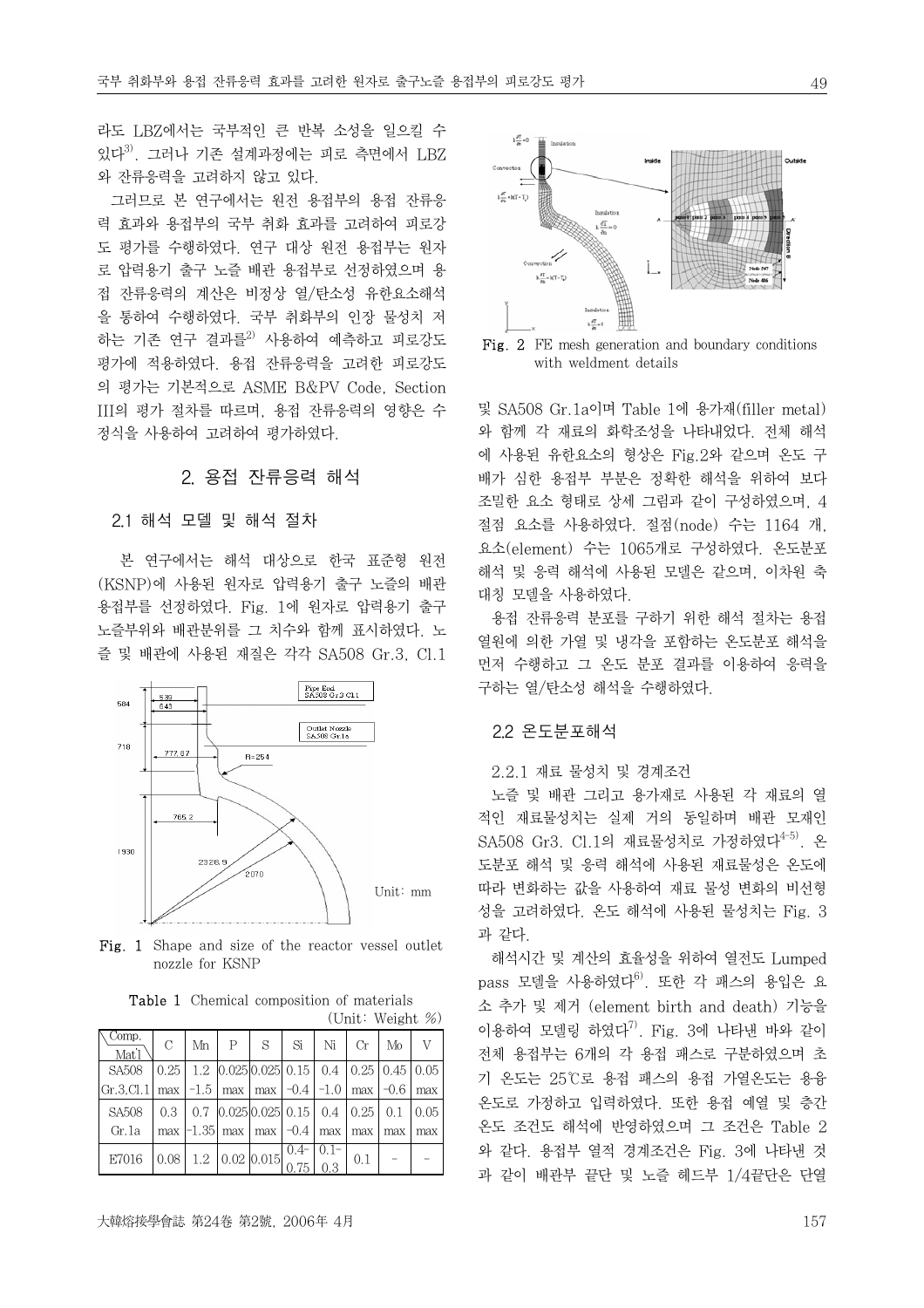라도 LBZ에서는 국부적인 큰 반복 소성을 일으킬 수 있다3). 그러나 기존 설계과정에는 피로 측면에서 LBZ 와 잔류응력을 고려하지 않고 있다.

 그러므로 본 연구에서는 원전 용접부의 용접 잔류응 력 효과와 용접부의 국부 취화 효과를 고려하여 피로강 도 평가를 수행하였다. 연구 대상 원전 용접부는 원자 로 압력용기 출구 노즐 배관 용접부로 선정하였으며 용 접 잔류응력의 계산은 비정상 열/탄소성 유한요소해석 을 통하여 수행하였다. 국부 취화부의 인장 물성치 저 하는 기존 연구 결과를<sup>2)</sup> 사용하여 예측하고 피로강도 평가에 적용하였다. 용접 잔류응력을 고려한 피로강도 의 평가는 기본적으로 ASME B&PV Code, Section III의 평가 절차를 따르며, 용접 잔류응력의 영향은 수 정식을 사용하여 고려하여 평가하였다.

## 2. 용접 잔류응력 해석

## 2.1 해석 모델 및 해석 절차

 본 연구에서는 해석 대상으로 한국 표준형 원전 (KSNP)에 사용된 원자로 압력용기 출구 노즐의 배관 용접부를 선정하였다. Fig. 1에 원자로 압력용기 출구 노즐부위와 배관분위를 그 치수와 함께 표시하였다. 노 즐 및 배관에 사용된 재질은 각각 SA508 Gr.3, Cl.1



Fig. 1 Shape and size of the reactor vessel outlet nozzle for KSNP

|                             |               |    |                                                    |   |        |         |      | OIIIU WEIKIIU 707                        |      |
|-----------------------------|---------------|----|----------------------------------------------------|---|--------|---------|------|------------------------------------------|------|
| Comp.<br>Mat <sup>'</sup> l | $\mathcal{C}$ | Mn | P                                                  | S | Si     | Ni      | Сr   | Mo                                       | V    |
| SA508                       | 0.25          |    | $1.2 \mid 0.025 \mid 0.025 \mid 0.15 \mid 0.4$     |   |        |         |      | $\vert 0.25 \vert 0.45 \vert 0.05 \vert$ |      |
| Gr.3 Cl.1                   | max           |    | $-1.5$   max   max   $-0.4$   $-1.0$               |   |        |         | max  | $-0.6$                                   | max  |
| SA508                       | 0.3           |    | $0.7 \vert 0.025 \vert 0.025 \vert 0.15 \vert 0.4$ |   |        |         | 0.25 | 0.1                                      | 0.05 |
| Gr.1a                       |               |    | max $ -1.35 $ max $ $ max $ -0.4 $                 |   |        | max     | max  | max                                      | max  |
| E7016                       | 0.08          |    | $1.2 \mid 0.02 \mid 0.015$                         |   | $0.4-$ | $0.1 -$ | 0.1  |                                          |      |
|                             |               |    |                                                    |   | 0.75   | 0.3     |      |                                          |      |

Table 1 Chemical composition of materials  $(\text{Unit: } W_{\text{aioht}} \ll)$ 



 $k\frac{\partial T}{\partial t} = k(T-T)$ 

 $k \stackrel{\text{aff}}{=} -1$ 

 $k\frac{\partial T}{\partial t}=0$ 

 $k\frac{\partial T}{\partial x} = k(T-T_a)$ 

에 사용된 유한요소의 형상은 Fig.2와 같으며 온도 구 배가 심한 용접부 부분은 정확한 해석을 위하여 보다 조밀한 요소 형태로 상세 그림과 같이 구성하였으며, 4 절점 요소를 사용하였다. 절점(node) 수는 1164 개, 요소(element) 수는 1065개로 구성하였다. 온도분포 해석 및 응력 해석에 사용된 모델은 같으며, 이차원 축 대칭 모델을 사용하였다.

 용접 잔류응력 분포를 구하기 위한 해석 절차는 용접 열원에 의한 가열 및 냉각을 포함하는 온도분포 해석을 먼저 수행하고 그 온도 분포 결과를 이용하여 응력을 구하는 열/탄소성 해석을 수행하였다.

## 2.2 온도분포해석

## 2.2.1 재료 물성치 및 경계조건

 노즐 및 배관 그리고 용가재로 사용된 각 재료의 열 적인 재료물성치는 실제 거의 동일하며 배관 모재인 SA508 Gr3. Cl.1의 재료물성치로 가정하였다<sup>4-5)</sup>. 온 도분포 해석 및 응력 해석에 사용된 재료물성은 온도에 따라 변화하는 값을 사용하여 재료 물성 변화의 비선형 성을 고려하였다. 온도 해석에 사용된 물성치는 Fig. 3 과 같다.

 해석시간 및 계산의 효율성을 위하여 열전도 Lumped pass 모델을 사용하였다<sup>6)</sup>. 또한 각 패스의 용입은 요 소 추가 및 제거 (element birth and death) 기능을 이용하여 모델링 하였다 $^{7)}$ . Fig. 3에 나타낸 바와 같이 전체 용접부는 6개의 각 용접 패스로 구분하였으며 초 기 온도는 25℃로 용접 패스의 용접 가열온도는 용융 온도로 가정하고 입력하였다. 또한 용접 예열 및 층간 온도 조건도 해석에 반영하였으며 그 조건은 Table 2 와 같다. 용접부 열적 경계조건은 Fig. 3에 나타낸 것 과 같이 배관부 끝단 및 노즐 헤드부 1/4끝단은 단열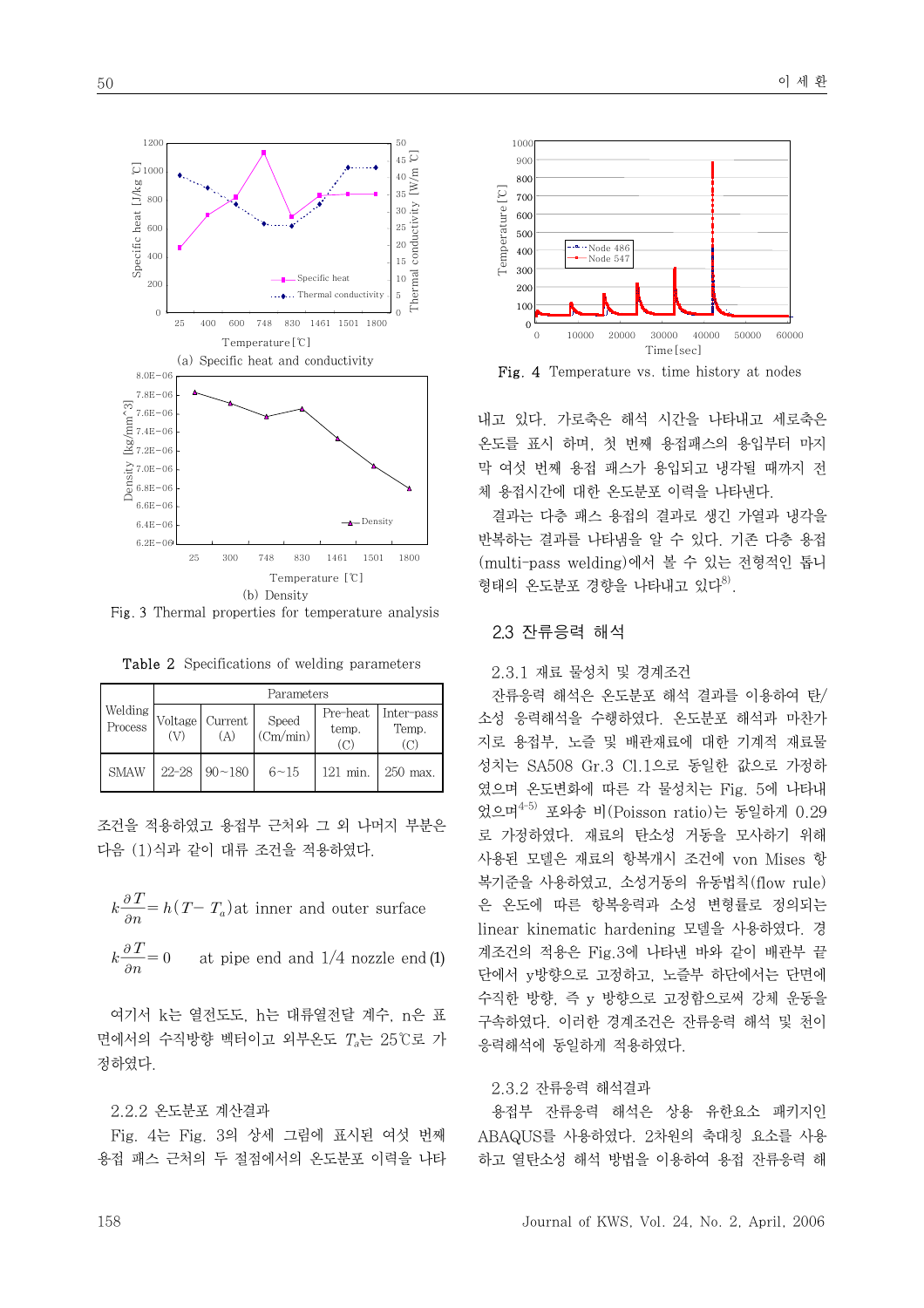

Fig. 3 Thermal properties for temperature analysis

Table 2 Specifications of welding parameters

|                    | Parameters                      |               |                   |                   |                     |  |
|--------------------|---------------------------------|---------------|-------------------|-------------------|---------------------|--|
| Welding<br>Process | Voltage   Current<br>(V)<br>(A) |               | Speed<br>(Cm/min) | Pre-heat<br>temp. | Inter-pass<br>Temp. |  |
| <b>SMAW</b>        | $22 - 28$                       | $90 \sim 180$ | $6 - 15$          | $121$ min.        | 250 max.            |  |

조건을 적용하였고 용접부 근처와 그 외 나머지 부분은 다음 (1)식과 같이 대류 조건을 적용하였다.

- $k\frac{\partial T}{\partial n} = h(T T_a)$ at inner and outer surface
- $k\frac{\partial\, T}{\partial n}$ at pipe end and 1/4 nozzle end (1)

 여기서 k는 열전도도, h는 대류열전달 계수, n은 표 면에서의 수직방향 벡터이고 외부온도 Ta는 25℃로 가 정하였다.

#### 2.2.2 온도분포 계산결과

 Fig. 4는 Fig. 3의 상세 그림에 표시된 여섯 번째 용접 패스 근처의 두 절점에서의 온도분포 이력을 나타



Fig. 4 Temperature vs. time history at nodes

내고 있다. 가로축은 해석 시간을 나타내고 세로축은 온도를 표시 하며, 첫 번째 용접패스의 용입부터 마지 막 여섯 번째 용접 패스가 용입되고 냉각될 때까지 전 체 용접시간에 대한 온도분포 이력을 나타낸다.

 결과는 다층 패스 용접의 결과로 생긴 가열과 냉각을 반복하는 결과를 나타냄을 알 수 있다. 기존 다층 용접 (multi-pass welding)에서 볼 수 있는 전형적인 톱니 형태의 온도분포 경향을 나타내고 있다 $^{8)}$ .

## 2.3 잔류응력 해석

## 2.3.1 재료 물성치 및 경계조건

 잔류응력 해석은 온도분포 해석 결과를 이용하여 탄/ 소성 응력해석을 수행하였다. 온도분포 해석과 마찬가 지로 용접부, 노즐 및 배관재료에 대한 기계적 재료물 성치는 SA508 Gr.3 Cl.1으로 동일한 값으로 가정하 였으며 온도변화에 따른 각 물성치는 Fig. 5에 나타내 었으며4-5) 포와송 비(Poisson ratio)는 동일하게 0.29 로 가정하였다. 재료의 탄소성 거동을 모사하기 위해 사용된 모델은 재료의 항복개시 조건에 von Mises 항 복기준을 사용하였고, 소성거동의 유동법칙(flow rule) 은 온도에 따른 항복응력과 소성 변형률로 정의되는 linear kinematic hardening 모델을 사용하였다. 경 계조건의 적용은 Fig.3에 나타낸 바와 같이 배관부 끝 단에서 y방향으로 고정하고, 노즐부 하단에서는 단면에 수직한 방향, 즉 y 방향으로 고정함으로써 강체 운동을 구속하였다. 이러한 경계조건은 잔류응력 해석 및 천이 응력해석에 동일하게 적용하였다.

#### 2.3.2 잔류응력 해석결과

 용접부 잔류응력 해석은 상용 유한요소 패키지인 ABAQUS를 사용하였다. 2차원의 축대칭 요소를 사용 하고 열탄소성 해석 방법을 이용하여 용접 잔류응력 해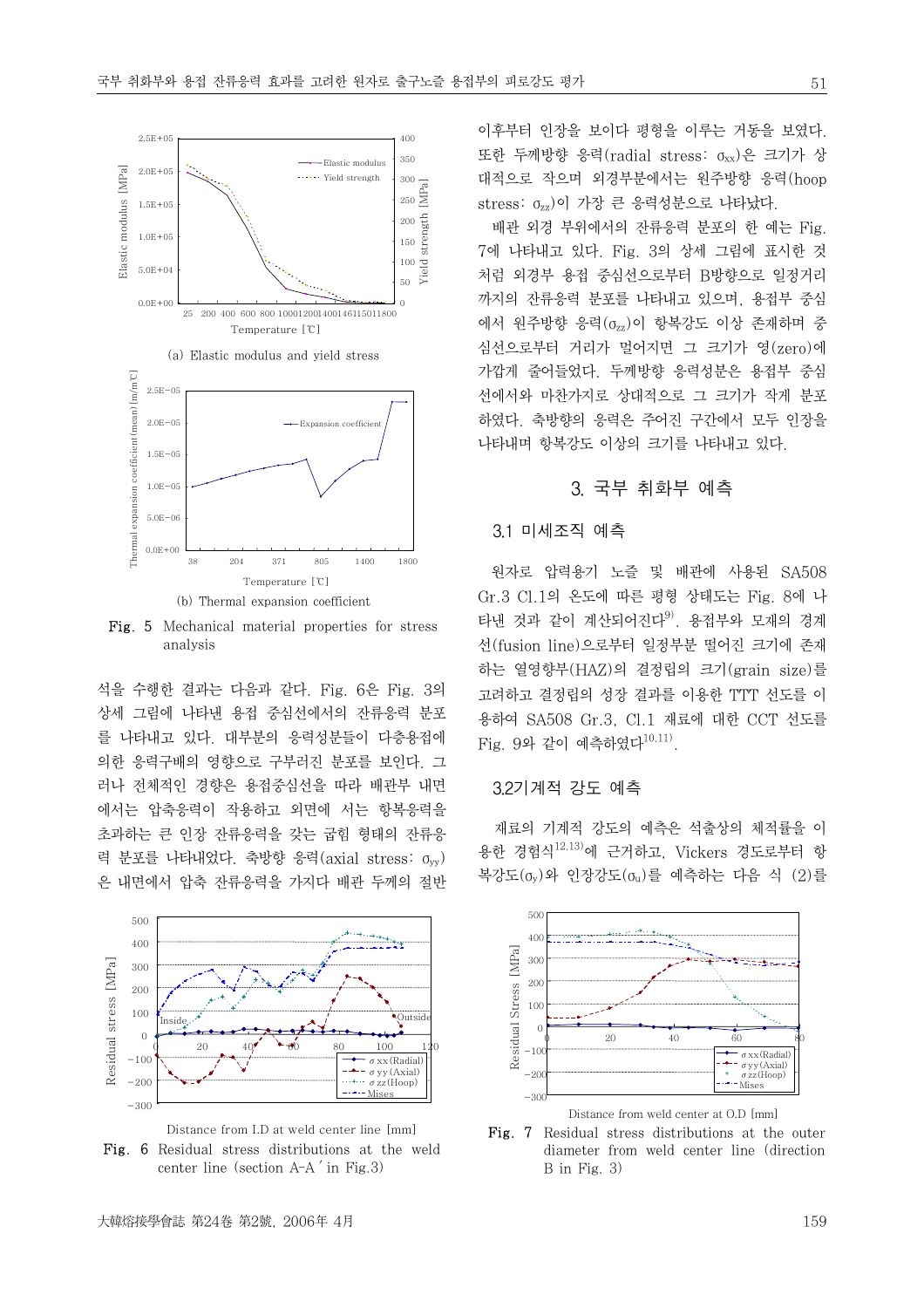

Fig. 5 Mechanical material properties for stress analysis

석을 수행한 결과는 다음과 같다. Fig. 6은 Fig. 3의 상세 그림에 나타낸 용접 중심선에서의 잔류응력 분포 를 나타내고 있다. 대부분의 응력성분들이 다층용접에 의한 응력구배의 영향으로 구부러진 분포를 보인다. 그 러나 전체적인 경향은 용접중심선을 따라 배관부 내면 에서는 압축응력이 작용하고 외면에 서는 항복응력을 초과하는 큰 인장 잔류응력을 갖는 굽힘 형태의 잔류응 력 분포를 나타내었다. 축방향 응력(axial stress:  $\sigma_{vv}$ ) 은 내면에서 압축 잔류응력을 가지다 배관 두께의 절반





이후부터 인장을 보이다 평형을 이루는 거동을 보였다. 또한 두께방향 응력(radial stress:  $\sigma_{xx}$ )은 크기가 상 대적으로 작으며 외경부분에서는 원주방향 응력(hoop stress: <sub>0zz</sub>)이 가장 큰 응력성분으로 나타났다.

 배관 외경 부위에서의 잔류응력 분포의 한 예는 Fig. 7에 나타내고 있다. Fig. 3의 상세 그림에 표시한 것 처럼 외경부 용접 중심선으로부터 B방향으로 일정거리 까지의 잔류응력 분포를 나타내고 있으며, 용접부 중심 에서 원주방향 응력( $\sigma_{zz}$ )이 항복강도 이상 존재하며 중 심선으로부터 거리가 멀어지면 그 크기가 영(zero)에 가깝게 줄어들었다. 두께방향 응력성분은 용접부 중심 선에서와 마찬가지로 상대적으로 그 크기가 작게 분포 하였다. 축방향의 응력은 주어진 구간에서 모두 인장을 나타내며 항복강도 이상의 크기를 나타내고 있다.

## 3. 국부 취화부 예측

## 3.1 미세조직 예측

 원자로 압력용기 노즐 및 배관에 사용된 SA508 Gr.3 Cl.1의 온도에 따른 평형 상태도는 Fig. 8에 나 타낸 것과 같이 계산되어진다 $^{9)}$ . 용접부와 모재의 경계 선(fusion line)으로부터 일정부분 떨어진 크기에 존재 하는 열영향부(HAZ)의 결정립의 크기(grain size)를 고려하고 결정립의 성장 결과를 이용한 TTT 선도를 이 용하여 SA508 Gr.3, Cl.1 재료에 대한 CCT 선도를  $Fig. 94$  같이 예측하였다 $^{10,11)}$ .

#### 3.2기계적 강도 예측

 재료의 기계적 강도의 예측은 석출상의 체적률을 이 용한 경험식12,13)에 근거하고, Vickers 경도로부터 항 복강도(σy)와 인장강도(σu)를 예측하는 다음 식 (2)를



Fig. 7 Residual stress distributions at the outer diameter from weld center line (direction B in Fig. 3)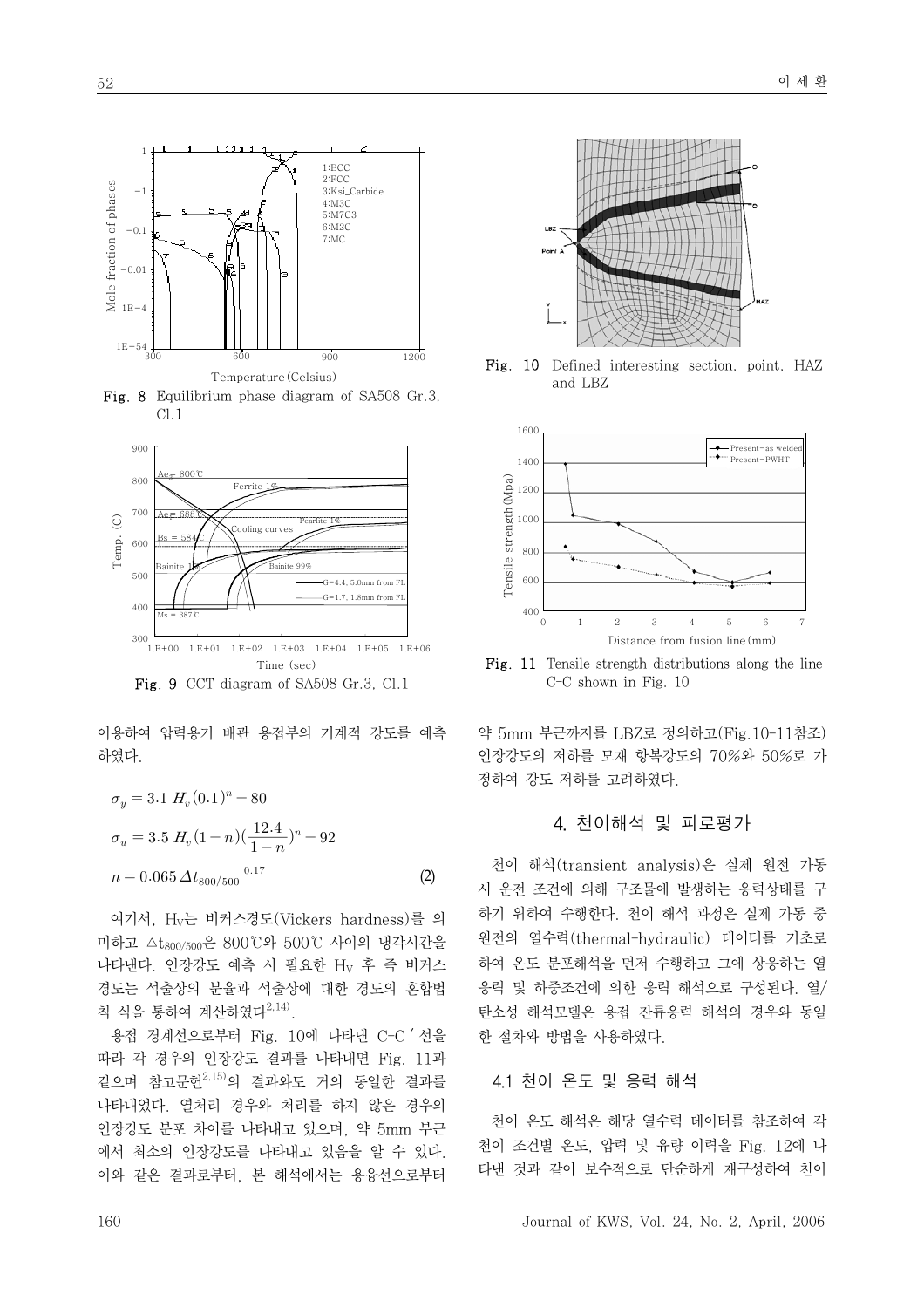

Fig. 8 Equilibrium phase diagram of SA508 Gr.3, Cl.1



Fig. 9 CCT diagram of SA508 Gr.3, Cl.1

이용하여 압력용기 배관 용접부의 기계적 강도를 예측 하였다.

$$
\sigma_y = 3.1 H_v (0.1)^n - 80
$$
  
\n
$$
\sigma_u = 3.5 H_v (1 - n) (\frac{12.4}{1 - n})^n - 92
$$
  
\n
$$
n = 0.065 \Delta t_{800/500}^{0.17}
$$
 (2)

 여기서, HV는 비커스경도(Vickers hardness)를 의 미하고 △t800/500은 800℃와 500℃ 사이의 냉각시간을 나타낸다. 인장강도 예측 시 필요한 Hv 후 즉 비커스 경도는 석출상의 분율과 석출상에 대한 경도의 혼합법 칙 식을 통하여 계산하였다2,14).

 용접 경계선으로부터 Fig. 10에 나타낸 C-C'선을 따라 각 경우의 인장강도 결과를 나타내면 Fig. 11과 같으며 참고문헌2,15)의 결과와도 거의 동일한 결과를 나타내었다. 열처리 경우와 처리를 하지 않은 경우의 인장강도 분포 차이를 나타내고 있으며, 약 5mm 부근 에서 최소의 인장강도를 나타내고 있음을 알 수 있다. 이와 같은 결과로부터, 본 해석에서는 용융선으로부터



Fig. 10 Defined interesting section, point, HAZ and LBZ



Fig. 11 Tensile strength distributions along the line C-C shown in Fig. 10

약 5mm 부근까지를 LBZ로 정의하고(Fig.10-11참조) 인장강도의 저하를 모재 항복강도의 70%와 50%로 가 정하여 강도 저하를 고려하였다.

## 4. 천이해석 및 피로평가

 천이 해석(transient analysis)은 실제 원전 가동 시 운전 조건에 의해 구조물에 발생하는 응력상태를 구 하기 위하여 수행한다. 천이 해석 과정은 실제 가동 중 원전의 열수력(thermal-hydraulic) 데이터를 기초로 하여 온도 분포해석을 먼저 수행하고 그에 상응하는 열 응력 및 하중조건에 의한 응력 해석으로 구성된다. 열/ 탄소성 해석모델은 용접 잔류응력 해석의 경우와 동일 한 절차와 방법을 사용하였다.

#### 4.1 천이 온도 및 응력 해석

 천이 온도 해석은 해당 열수력 데이터를 참조하여 각 천이 조건별 온도, 압력 및 유량 이력을 Fig. 12에 나 타낸 것과 같이 보수적으로 단순하게 재구성하여 천이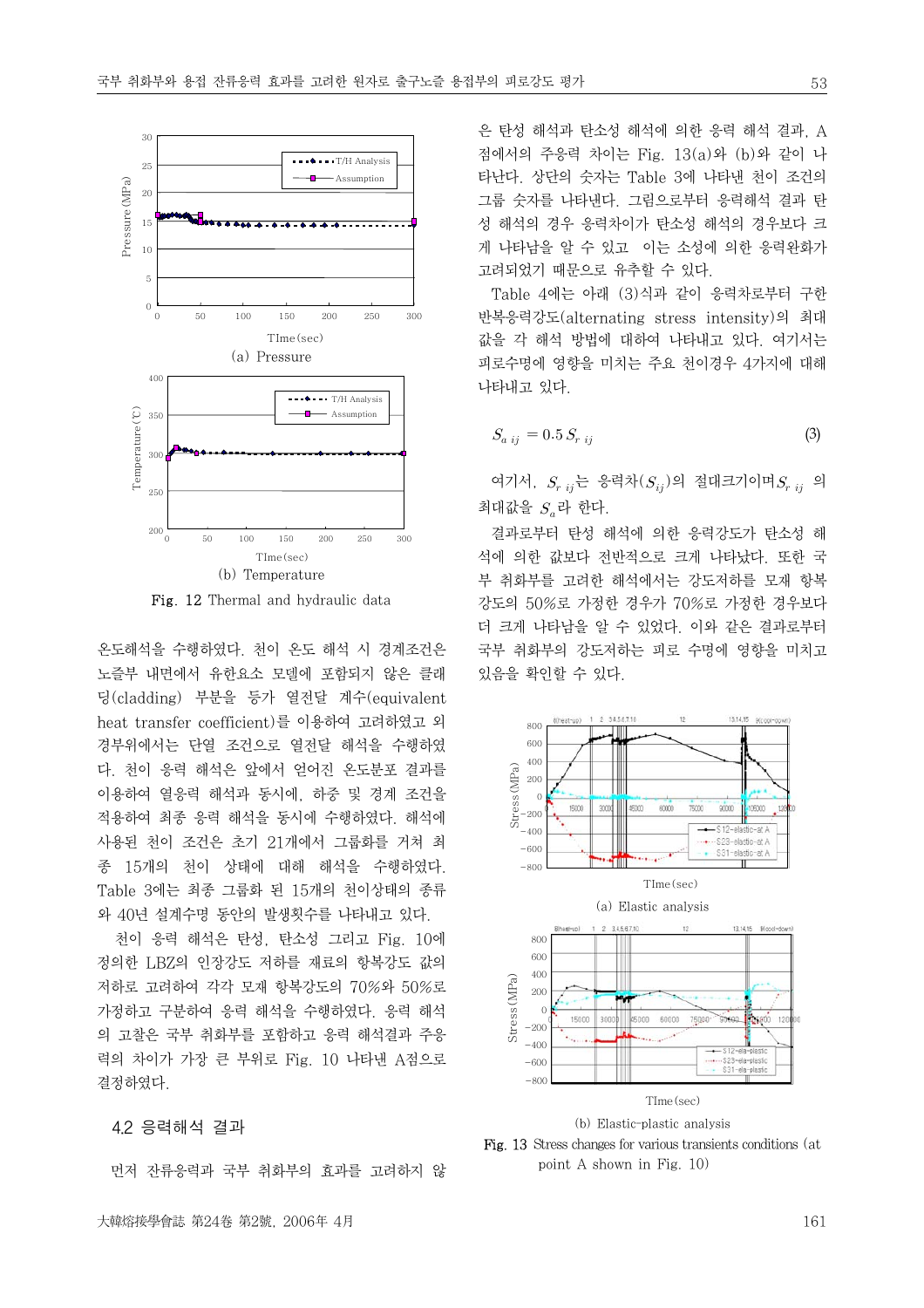

Fig. 12 Thermal and hydraulic data

온도해석을 수행하였다. 천이 온도 해석 시 경계조건은 노즐부 내면에서 유한요소 모델에 포함되지 않은 클래 딩(cladding) 부분을 등가 열전달 계수(equivalent heat transfer coefficient)를 이용하여 고려하였고 외 경부위에서는 단열 조건으로 열전달 해석을 수행하였 다. 천이 응력 해석은 앞에서 얻어진 온도분포 결과를 이용하여 열응력 해석과 동시에, 하중 및 경계 조건을 적용하여 최종 응력 해석을 동시에 수행하였다. 해석에 사용된 천이 조건은 초기 21개에서 그룹화를 거쳐 최 종 15개의 천이 상태에 대해 해석을 수행하였다. Table 3에는 최종 그룹화 된 15개의 천이상태의 종류 와 40년 설계수명 동안의 발생횟수를 나타내고 있다.

 천이 응력 해석은 탄성, 탄소성 그리고 Fig. 10에 정의한 LBZ의 인장강도 저하를 재료의 항복강도 값의 저하로 고려하여 각각 모재 항복강도의 70%와 50%로 가정하고 구분하여 응력 해석을 수행하였다. 응력 해석 의 고찰은 국부 취화부를 포함하고 응력 해석결과 주응 력의 차이가 가장 큰 부위로 Fig. 10 나타낸 A점으로 결정하였다.

#### 4.2 응력해석 결과

먼저 잔류응력과 국부 취화부의 효과를 고려하지 않

은 탄성 해석과 탄소성 해석에 의한 응력 해석 결과, A 점에서의 주응력 차이는 Fig. 13(a)와 (b)와 같이 나 타난다. 상단의 숫자는 Table 3에 나타낸 천이 조건의 그룹 숫자를 나타낸다. 그림으로부터 응력해석 결과 탄 성 해석의 경우 응력차이가 탄소성 해석의 경우보다 크 게 나타남을 알 수 있고 이는 소성에 의한 응력완화가 고려되었기 때문으로 유추할 수 있다.

 Table 4에는 아래 (3)식과 같이 응력차로부터 구한 반복응력강도(alternating stress intensity)의 최대 값을 각 해석 방법에 대하여 나타내고 있다. 여기서는 피로수명에 영향을 미치는 주요 천이경우 4가지에 대해 나타내고 있다.

$$
S_{a\ ij} = 0.5 \, S_{r\ ij} \tag{3}
$$

여기서,  $S_{r i j}$ 는 응력차 $(S_{i j})$ 의 절대크기이며 $S_{r i j}$  의 최대값을  $S<sub>a</sub>$ 라 한다.

 결과로부터 탄성 해석에 의한 응력강도가 탄소성 해 석에 의한 값보다 전반적으로 크게 나타났다. 또한 국 부 취화부를 고려한 해석에서는 강도저하를 모재 항복 강도의 50%로 가정한 경우가 70%로 가정한 경우보다 더 크게 나타남을 알 수 있었다. 이와 같은 결과로부터 국부 취화부의 강도저하는 피로 수명에 영향을 미치고 있음을 확인할 수 있다.



Fig. 13 Stress changes for various transients conditions (at point A shown in Fig. 10)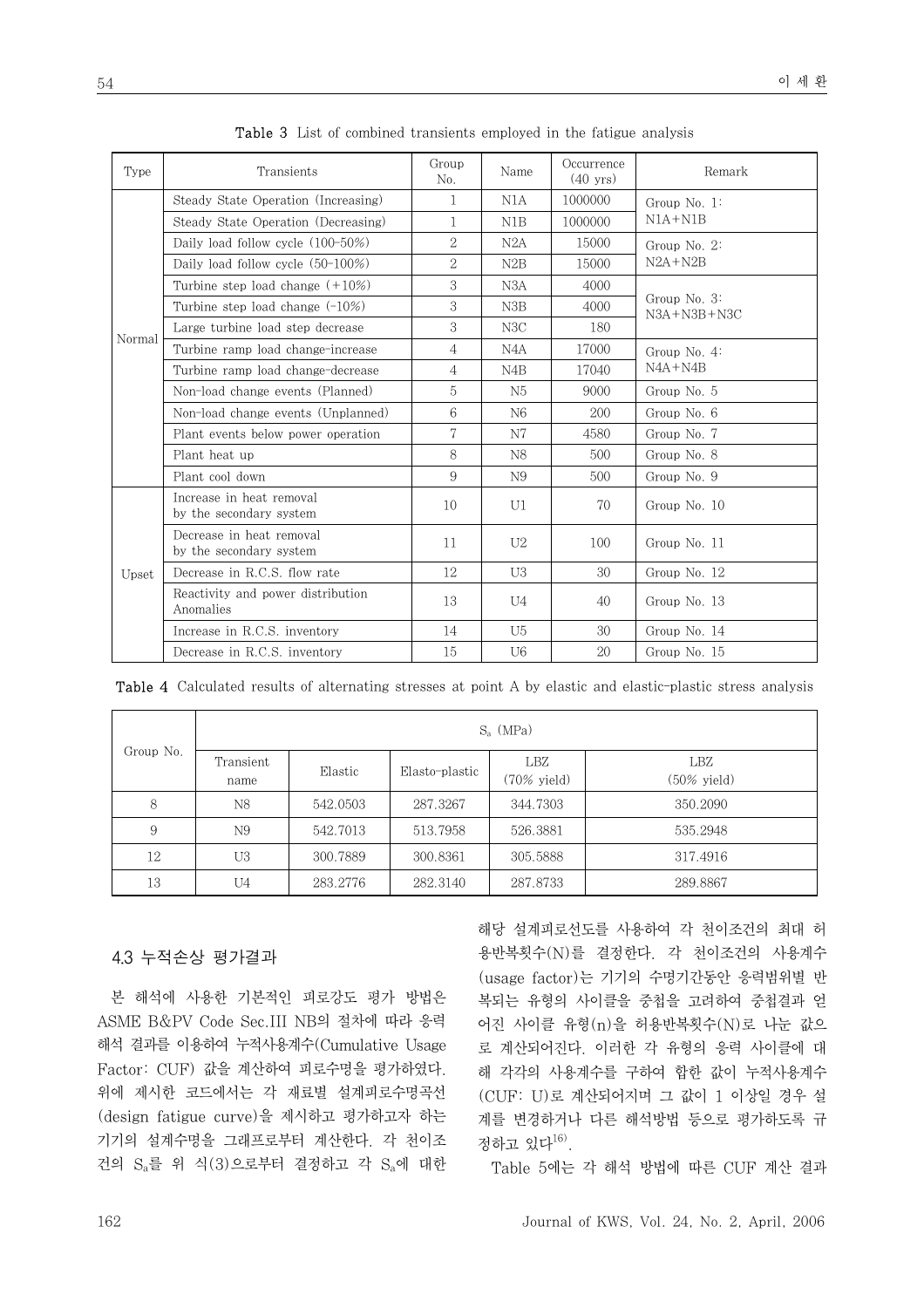| Type   | Transients                                          | Group<br>No.   | Name             | Occurrence<br>$(40 \text{ yrs})$ | Remark                               |  |
|--------|-----------------------------------------------------|----------------|------------------|----------------------------------|--------------------------------------|--|
|        | Steady State Operation (Increasing)                 | 1              | N1A              | 1000000                          | Group No. $1$ :                      |  |
|        | Steady State Operation (Decreasing)                 | 1              | N1B              | 1000000                          | $N1A + N1B$                          |  |
|        | Daily load follow cycle (100-50%)                   | $\overline{2}$ | N2A              | 15000                            | Group No. 2:                         |  |
|        | Daily load follow cycle $(50-100\%)$                | $\overline{2}$ | N2B              | 15000                            | $N2A + N2B$                          |  |
|        | Turbine step load change $(+10\%)$                  | $\,3$          | N3A              | 4000                             |                                      |  |
|        | Turbine step load change $(-10\%)$                  | $\,3$          | N3B              | 4000                             | Group No. $3$ :<br>$N3A + N3B + N3C$ |  |
| Normal | Large turbine load step decrease                    | 3              | N3C              | 180                              |                                      |  |
|        | Turbine ramp load change-increase                   | 4              | N4A              | 17000                            | Group No. $4$ :                      |  |
|        | Turbine ramp load change-decrease                   | $\overline{4}$ | N <sub>4</sub> B | 17040                            | $NAA + N4B$                          |  |
|        | Non-load change events (Planned)                    | 5              | N5               | 9000                             | Group No. 5                          |  |
|        | Non-load change events (Unplanned)                  | 6              | N <sub>6</sub>   | 200                              | Group No. 6                          |  |
|        | Plant events below power operation                  | $\overline{7}$ | N7               | 4580                             | Group No. 7                          |  |
|        | Plant heat up                                       | 8              | N8               | 500                              | Group No. 8                          |  |
|        | Plant cool down                                     | 9              | N9               | 500                              | Group No. 9                          |  |
| Upset  | Increase in heat removal<br>by the secondary system | 10             | U1               | 70                               | Group No. 10                         |  |
|        | Decrease in heat removal<br>by the secondary system | 11             | U <sub>2</sub>   | 100                              | Group No. 11                         |  |
|        | Decrease in R.C.S. flow rate                        | 12             | U3               | 30                               | Group No. 12                         |  |
|        | Reactivity and power distribution<br>Anomalies      | 13             | U <sub>4</sub>   | 40                               | Group No. 13                         |  |
|        | Increase in R.C.S. inventory                        | 14             | U <sub>5</sub>   | 30                               | Group No. 14                         |  |
|        | Decrease in R.C.S. inventory                        | 15             | U <sub>6</sub>   | 20                               | Group No. 15                         |  |

Table 3 List of combined transients employed in the fatigue analysis

| Group No. | $S_a$ (MPa)       |          |                |                               |                               |  |  |
|-----------|-------------------|----------|----------------|-------------------------------|-------------------------------|--|--|
|           | Transient<br>name | Elastic  | Elasto-plastic | LBZ<br>$(70\% \text{ yield})$ | LBZ<br>$(50\% \text{ yield})$ |  |  |
| 8         | N8                | 542.0503 | 287.3267       | 344.7303                      | 350.2090                      |  |  |
| 9         | N9                | 542.7013 | 513.7958       | 526.3881                      | 535.2948                      |  |  |
| 12        | U3                | 300.7889 | 300.8361       | 305.5888                      | 317.4916                      |  |  |
| 13        | U4                | 283.2776 | 282.3140       | 287.8733                      | 289.8867                      |  |  |

Table 4 Calculated results of alternating stresses at point A by elastic and elastic-plastic stress analysis

## 4.3 누적손상 평가결과

 본 해석에 사용한 기본적인 피로강도 평가 방법은 ASME B&PV Code Sec.III NB의 절차에 따라 응력 해석 결과를 이용하여 누적사용계수(Cumulative Usage Factor: CUF) 값을 계산하여 피로수명을 평가하였다. 위에 제시한 코드에서는 각 재료별 설계피로수명곡선 (design fatigue curve)을 제시하고 평가하고자 하는 기기의 설계수명을 그래프로부터 계산한다. 각 천이조 건의 Sa를 위 식(3)으로부터 결정하고 각 Sa에 대한

해당 설계피로선도를 사용하여 각 천이조건의 최대 허 용반복횟수(N)를 결정한다. 각 천이조건의 사용계수 (usage factor)는 기기의 수명기간동안 응력범위별 반 복되는 유형의 사이클을 중첩을 고려하여 중첩결과 얻 어진 사이클 유형(n)을 허용반복횟수(N)로 나눈 값으 로 계산되어진다. 이러한 각 유형의 응력 사이클에 대 해 각각의 사용계수를 구하여 합한 값이 누적사용계수 (CUF: U)로 계산되어지며 그 값이 1 이상일 경우 설 계를 변경하거나 다른 해석방법 등으로 평가하도록 규 정하고 있다 $^{16)}$ .

Table 5에는 각 해석 방법에 따른 CUF 계산 결과

54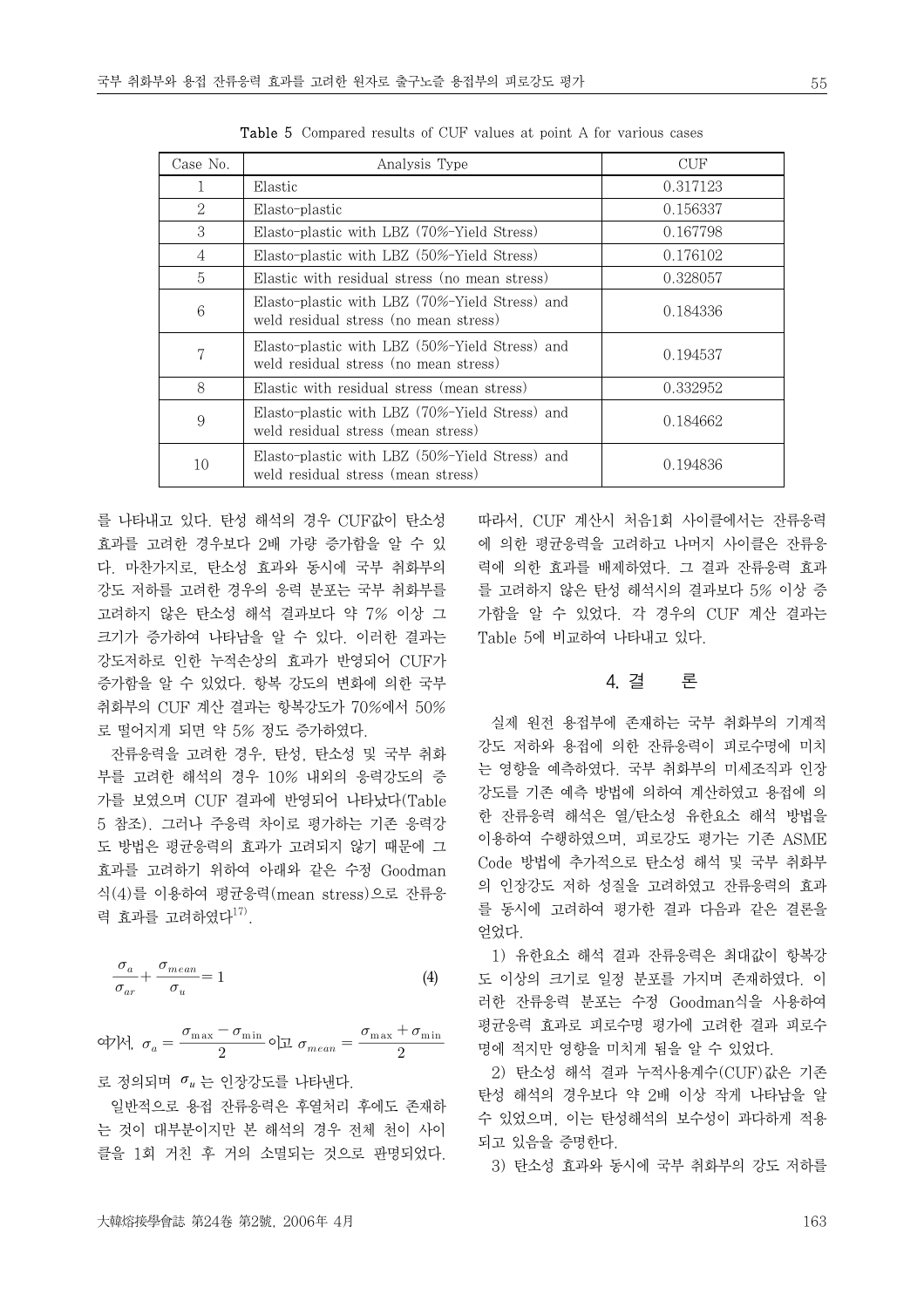| Case No.                    | Analysis Type                                                                           | CUF      |
|-----------------------------|-----------------------------------------------------------------------------------------|----------|
|                             | Elastic                                                                                 | 0.317123 |
| $\mathcal{D}_{\mathcal{L}}$ | Elasto-plastic                                                                          | 0.156337 |
| $\mathcal{S}$               | Elasto-plastic with LBZ (70%-Yield Stress)                                              | 0.167798 |
| $\overline{4}$              | Elasto-plastic with LBZ (50%-Yield Stress)                                              | 0.176102 |
| $\overline{5}$              | Elastic with residual stress (no mean stress)                                           | 0.328057 |
| 6                           | Elasto-plastic with LBZ (70%-Yield Stress) and<br>weld residual stress (no mean stress) | 0.184336 |
| 7                           | Elasto-plastic with LBZ (50%-Yield Stress) and<br>weld residual stress (no mean stress) | 0.194537 |
| 8                           | Elastic with residual stress (mean stress)                                              | 0.332952 |
| 9                           | Elasto-plastic with LBZ (70%-Yield Stress) and<br>weld residual stress (mean stress)    | 0.184662 |
| 10                          | Elasto-plastic with LBZ (50%-Yield Stress) and<br>weld residual stress (mean stress)    | 0.194836 |

Table 5 Compared results of CUF values at point A for various cases

를 나타내고 있다. 탄성 해석의 경우 CUF값이 탄소성 효과를 고려한 경우보다 2배 가량 증가함을 알 수 있 다. 마찬가지로, 탄소성 효과와 동시에 국부 취화부의 강도 저하를 고려한 경우의 응력 분포는 국부 취화부를 고려하지 않은 탄소성 해석 결과보다 약 7% 이상 그 크기가 증가하여 나타남을 알 수 있다. 이러한 결과는 강도저하로 인한 누적손상의 효과가 반영되어 CUF가 증가함을 알 수 있었다. 항복 강도의 변화에 의한 국부 취화부의 CUF 계산 결과는 항복강도가 70%에서 50% 로 떨어지게 되면 약 5% 정도 증가하였다.

 잔류응력을 고려한 경우, 탄성, 탄소성 및 국부 취화 부를 고려한 해석의 경우 10% 내외의 응력강도의 증 가를 보였으며 CUF 결과에 반영되어 나타났다(Table 5 참조). 그러나 주응력 차이로 평가하는 기존 응력강 도 방법은 평균응력의 효과가 고려되지 않기 때문에 그 효과를 고려하기 위하여 아래와 같은 수정 Goodman 식(4)를 이용하여 평균응력(mean stress)으로 잔류응 력 효과를 고려하였다 $^{17}$ .

$$
\frac{\sigma_a}{\sigma_{ar}} + \frac{\sigma_{mean}}{\sigma_u} = 1
$$
 (4)

여기서, 이고  $\sigma_{\max} + \sigma_{\min}$ 

로 정의되며 *σ <sup>u</sup>* 는 인장강도를 나타낸다.

 일반적으로 용접 잔류응력은 후열처리 후에도 존재하 는 것이 대부분이지만 본 해석의 경우 전체 천이 사이 클을 1회 거친 후 거의 소멸되는 것으로 판명되었다. 따라서, CUF 계산시 처음1회 사이클에서는 잔류응력 에 의한 평균응력을 고려하고 나머지 사이클은 잔류응 력에 의한 효과를 배제하였다. 그 결과 잔류응력 효과 를 고려하지 않은 탄성 해석시의 결과보다 5% 이상 증 가함을 알 수 있었다. 각 경우의 CUF 계산 결과는 Table 5에 비교하여 나타내고 있다.

## 4. 결 론

 실제 원전 용접부에 존재하는 국부 취화부의 기계적 강도 저하와 용접에 의한 잔류응력이 피로수명에 미치 는 영향을 예측하였다. 국부 취화부의 미세조직과 인장 강도를 기존 예측 방법에 의하여 계산하였고 용접에 의 한 잔류응력 해석은 열/탄소성 유한요소 해석 방법을 이용하여 수행하였으며, 피로강도 평가는 기존 ASME Code 방법에 추가적으로 탄소성 해석 및 국부 취화부 의 인장강도 저하 성질을 고려하였고 잔류응력의 효과 를 동시에 고려하여 평가한 결과 다음과 같은 결론을 얻었다.

 1) 유한요소 해석 결과 잔류응력은 최대값이 항복강 도 이상의 크기로 일정 분포를 가지며 존재하였다. 이 러한 잔류응력 분포는 수정 Goodman식을 사용하여 평균응력 효과로 피로수명 평가에 고려한 결과 피로수 명에 적지만 영향을 미치게 됨을 알 수 있었다.

 2) 탄소성 해석 결과 누적사용계수(CUF)값은 기존 탄성 해석의 경우보다 약 2배 이상 작게 나타남을 알 수 있었으며, 이는 탄성해석의 보수성이 과다하게 적용 되고 있음을 증명한다.

3) 탄소성 효과와 동시에 국부 취화부의 강도 저하를